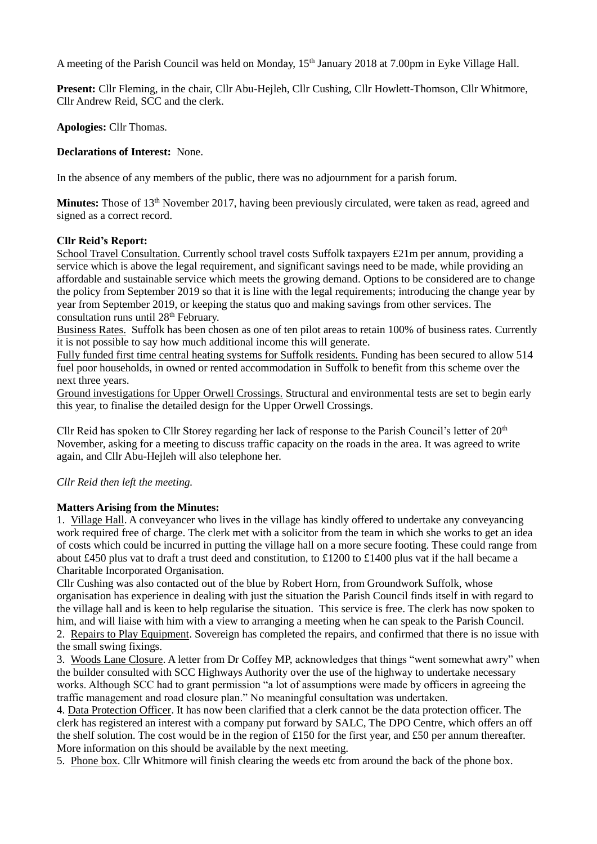A meeting of the Parish Council was held on Monday, 15<sup>th</sup> January 2018 at 7.00pm in Eyke Village Hall.

**Present:** Cllr Fleming, in the chair, Cllr Abu-Hejleh, Cllr Cushing, Cllr Howlett-Thomson, Cllr Whitmore, Cllr Andrew Reid, SCC and the clerk.

**Apologies:** Cllr Thomas.

**Declarations of Interest:** None.

In the absence of any members of the public, there was no adjournment for a parish forum.

**Minutes:** Those of 13<sup>th</sup> November 2017, having been previously circulated, were taken as read, agreed and signed as a correct record.

## **Cllr Reid's Report:**

School Travel Consultation. Currently school travel costs Suffolk taxpayers £21m per annum, providing a service which is above the legal requirement, and significant savings need to be made, while providing an affordable and sustainable service which meets the growing demand. Options to be considered are to change the policy from September 2019 so that it is line with the legal requirements; introducing the change year by year from September 2019, or keeping the status quo and making savings from other services. The consultation runs until 28<sup>th</sup> February.

Business Rates. Suffolk has been chosen as one of ten pilot areas to retain 100% of business rates. Currently it is not possible to say how much additional income this will generate.

Fully funded first time central heating systems for Suffolk residents. Funding has been secured to allow 514 fuel poor households, in owned or rented accommodation in Suffolk to benefit from this scheme over the next three years.

Ground investigations for Upper Orwell Crossings. Structural and environmental tests are set to begin early this year, to finalise the detailed design for the Upper Orwell Crossings.

Cllr Reid has spoken to Cllr Storey regarding her lack of response to the Parish Council's letter of 20<sup>th</sup> November, asking for a meeting to discuss traffic capacity on the roads in the area. It was agreed to write again, and Cllr Abu-Hejleh will also telephone her.

### *Cllr Reid then left the meeting.*

### **Matters Arising from the Minutes:**

1. Village Hall. A conveyancer who lives in the village has kindly offered to undertake any conveyancing work required free of charge. The clerk met with a solicitor from the team in which she works to get an idea of costs which could be incurred in putting the village hall on a more secure footing. These could range from about £450 plus vat to draft a trust deed and constitution, to £1200 to £1400 plus vat if the hall became a Charitable Incorporated Organisation.

Cllr Cushing was also contacted out of the blue by Robert Horn, from Groundwork Suffolk, whose organisation has experience in dealing with just the situation the Parish Council finds itself in with regard to the village hall and is keen to help regularise the situation. This service is free. The clerk has now spoken to him, and will liaise with him with a view to arranging a meeting when he can speak to the Parish Council. 2. Repairs to Play Equipment. Sovereign has completed the repairs, and confirmed that there is no issue with the small swing fixings.

3. Woods Lane Closure. A letter from Dr Coffey MP, acknowledges that things "went somewhat awry" when the builder consulted with SCC Highways Authority over the use of the highway to undertake necessary works. Although SCC had to grant permission "a lot of assumptions were made by officers in agreeing the traffic management and road closure plan." No meaningful consultation was undertaken.

4. Data Protection Officer. It has now been clarified that a clerk cannot be the data protection officer. The clerk has registered an interest with a company put forward by SALC, The DPO Centre, which offers an off the shelf solution. The cost would be in the region of £150 for the first year, and £50 per annum thereafter. More information on this should be available by the next meeting.

5. Phone box. Cllr Whitmore will finish clearing the weeds etc from around the back of the phone box.